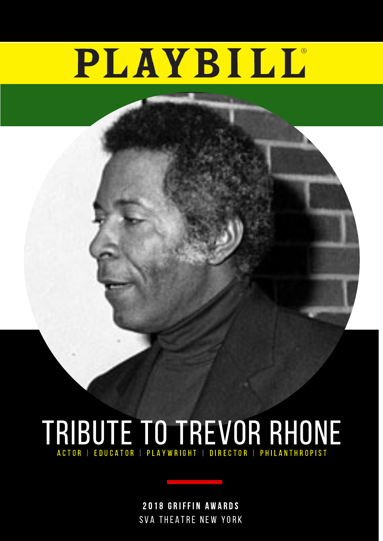# PLAYBILL®



### TRIBUTE TO TREVOR RHONE A C T O R | E D U C A T O R | P L A Y W R I G H T | D I R E C T O R | P H I L A N T H R O P I S T

2018 GRIFFIN AWARDS SVA THEATRE NEW YORK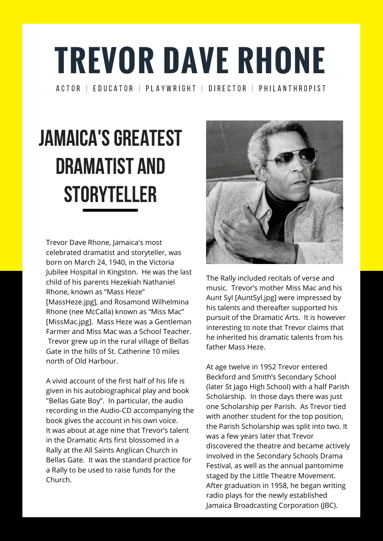Trevor Dave Rhone, Jamaica's most celebrated dramatist and storyteller, was born on March 24, 1940, in the Victoria Jubilee Hospital in Kingston. He was the last child of his parents Hezekiah Nathaniel Rhone, known as "Mass Heze" [MassHeze.jpg], and Rosamond Wilhelmina Rhone (nee McCalla) known as "Miss Mac" [MissMac.jpg]. Mass Heze was a Gentleman Farmer and Miss Mac was a School Teacher. Trevor grew up in the rural village of Bellas Gate in the hills of St. Catherine 10 miles north of Old Harbour.



### **TREVOR DAVE RHONE** A C T O R | E D U C A T O R | P L A Y W R I G H T | D I R E C T O R | P H I L A N T H R O P I S T

## JAMAICA'S GREATEST DRAMATIST AND STORYTELLER

A vivid account of the first half of his life is given in his autobiographical play and book "Bellas Gate Boy". In particular, the audio recording in the Audio-CD accompanying the book gives the account in his own voice. It was about at age nine that Trevor's talent in the Dramatic Arts first blossomed in a Rally at the All Saints Anglican Church in Bellas Gate. It was the standard practice for a Rally to be used to raise funds for the Church.

The Rally included recitals of verse and music. Trevor's mother Miss Mac and his Aunt Syl [AuntSyl.jpg] were impressed by his talents and thereafter supported his pursuit of the Dramatic Arts. It is however interesting to note that Trevor claims that he inherited his dramatic talents from his father Mass Heze.

At age twelve in 1952 Trevor entered Beckford and Smith's Secondary School (later St Jago High School) with a half Parish Scholarship. In those days there was just one Scholarship per Parish. As Trevor tied with another student for the top position, the Parish Scholarship was split into two. It was a few years later that Trevor discovered the theatre and became actively involved in the Secondary Schools Drama Festival, as well as the annual pantomime staged by the Little Theatre Movement. After graduation in 1958, he began writing radio plays for the newly established Jamaica Broadcasting Corporation (JBC).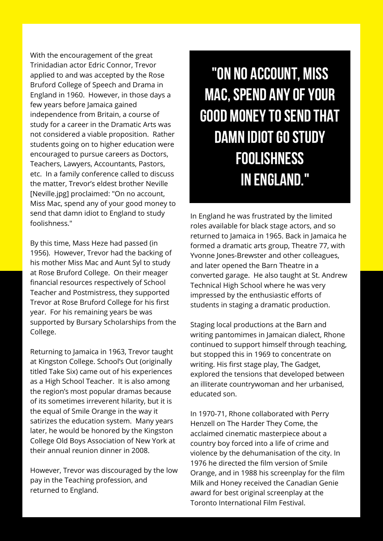With the encouragement of the great Trinidadian actor Edric Connor, Trevor applied to and was accepted by the Rose Bruford College of Speech and Drama in England in 1960. However, in those days a few years before Jamaica gained independence from Britain, a course of study for a career in the Dramatic Arts was not considered a viable proposition. Rather students going on to higher education were encouraged to pursue careers as Doctors, Teachers, Lawyers, Accountants, Pastors, etc. In a family conference called to discuss the matter, Trevor's eldest brother Neville [Neville.jpg] proclaimed: "On no account, Miss Mac, spend any of your good money to send that damn idiot to England to study foolishness."

By this time, Mass Heze had passed (in 1956). However, Trevor had the backing of his mother Miss Mac and Aunt Syl to study at Rose Bruford College. On their meager financial resources respectively of School

Teacher and Postmistress, they supported Trevor at Rose Bruford College for his first year. For his remaining years be was supported by Bursary Scholarships from the College.

Returning to Jamaica in 1963, Trevor taught at Kingston College. School's Out (originally titled Take Six) came out of his experiences as a High School Teacher. It is also among the region's most popular dramas because of its sometimes irreverent hilarity, but it is the equal of Smile Orange in the way it satirizes the education system. Many years later, he would be honored by the Kingston College Old Boys Association of New York at their annual reunion dinner in 2008.

However, Trevor was discouraged by the low pay in the Teaching profession, and returned to England.

"On no account, Miss MAC, SPEND ANY OF YOUR **GOOD MONEY TO SEND THAT** DAMN IDIOT GO STUDY foolishness in England. "

In England he was frustrated by the limited roles available for black stage actors, and so returned to Jamaica in 1965. Back in Jamaica he formed a dramatic arts group, Theatre 77, with Yvonne Jones-Brewster and other colleagues, and later opened the Barn Theatre in a converted garage. He also taught at St. Andrew Technical High School where he was very impressed by the enthusiastic efforts of students in staging a dramatic production.

Staging local productions at the Barn and writing pantomimes in Jamaican dialect, Rhone continued to support himself through teaching, but stopped this in 1969 to concentrate on writing. His first stage play, The Gadget, explored the tensions that developed between an illiterate countrywoman and her urbanised, educated son.

In 1970-71, Rhone collaborated with Perry Henzell on The Harder They Come, the acclaimed cinematic masterpiece about a country boy forced into a life of crime and violence by the dehumanisation of the city. In 1976 he directed the film version of Smile Orange, and in 1988 his screenplay for the film Milk and Honey received the Canadian Genie award for best original screenplay at the Toronto International Film Festival.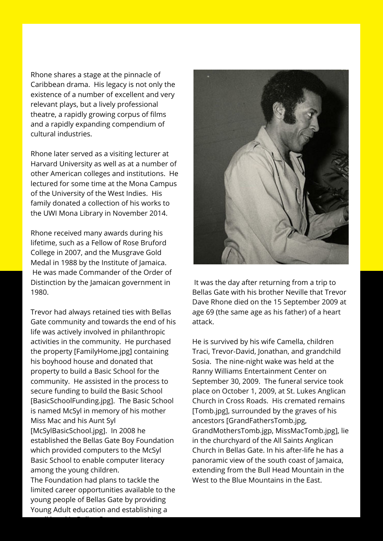Rhone shares a stage at the pinnacle of Caribbean drama. His legacy is not only the existence of a number of excellent and very relevant plays, but a lively professional theatre, a rapidly growing corpus of films and a rapidly expanding compendium of cultural industries.

Rhone later served as a visiting lecturer at Harvard University as well as at a number of other American colleges and institutions. He lectured for some time at the Mona Campus of the University of the West Indies. His family donated a collection of his works to the UWI Mona Library in November 2014.

Rhone received many awards during his lifetime, such as a Fellow of Rose Bruford College in 2007, and the Musgrave Gold Medal in 1988 by the Institute of Jamaica. He was made Commander of the Order of Distinction by the Jamaican government in

1980.

Trevor had always retained ties with Bellas Gate community and towards the end of his life was actively involved in philanthropic activities in the community. He purchased the property [FamilyHome.jpg] containing his boyhood house and donated that property to build a Basic School for the community. He assisted in the process to secure funding to build the Basic School [BasicSchoolFunding.jpg]. The Basic School is named McSyl in memory of his mother Miss Mac and his Aunt Syl [McSylBasicSchool.jpg]. In 2008 he established the Bellas Gate Boy Foundation which provided computers to the McSyl Basic School to enable computer literacy among the young children.

The Foundation had plans to tackle the limited career opportunities available to the young people of Bellas Gate by providing Young Adult education and establishing a

small hotel in Bellas Gate to attract Nature



It was the day after returning from a trip to

Bellas Gate with his brother Neville that Trevor Dave Rhone died on the 15 September 2009 at age 69 (the same age as his father) of a heart attack.

He is survived by his wife Camella, children Traci, Trevor-David, Jonathan, and grandchild Sosia. The nine-night wake was held at the Ranny Williams Entertainment Center on September 30, 2009. The funeral service took place on October 1, 2009, at St. Lukes Anglican Church in Cross Roads. His cremated remains [Tomb.jpg], surrounded by the graves of his ancestors [GrandFathersTomb.jpg, GrandMothersTomb.jgp, MissMacTomb.jpg], lie in the churchyard of the All Saints Anglican Church in Bellas Gate. In his after-life he has a panoramic view of the south coast of Jamaica, extending from the Bull Head Mountain in the West to the Blue Mountains in the East.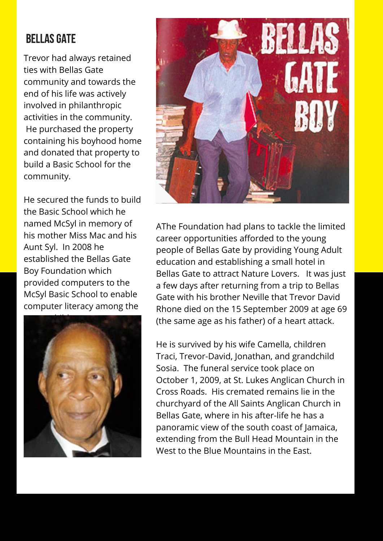AThe Foundation had plans to tackle the limited career opportunities afforded to the young people of Bellas Gate by providing Young Adult education and establishing a small hotel in Bellas Gate to attract Nature Lovers. It was just a few days after returning from a trip to Bellas Gate with his brother Neville that Trevor David Rhone died on the 15 September 2009 at age 69 (the same age as his father) of a heart attack.

He is survived by his wife Camella, children Traci, Trevor-David, Jonathan, and grandchild Sosia. The funeral service took place on October 1, 2009, at St. Lukes Anglican Church in Cross Roads. His cremated remains lie in the churchyard of the All Saints Anglican Church in Bellas Gate, where in his after-life he has a panoramic view of the south coast of Jamaica, extending from the Bull Head Mountain in the West to the Blue Mountains in the East.

#### **BELLAS GATE**

Trevor had always retained ties with Bellas Gate community and towards the end of his life was actively involved in philanthropic activities in the community. He purchased the property containing his boyhood home and donated that property to build a Basic School for the community.

He secured the funds to build the Basic School which he named McSyl in memory of his mother Miss Mac and his Aunt Syl. In 2008 he established the Bellas Gate Boy Foundation which provided computers to the



McSyl Basic School to enable computer literacy among the